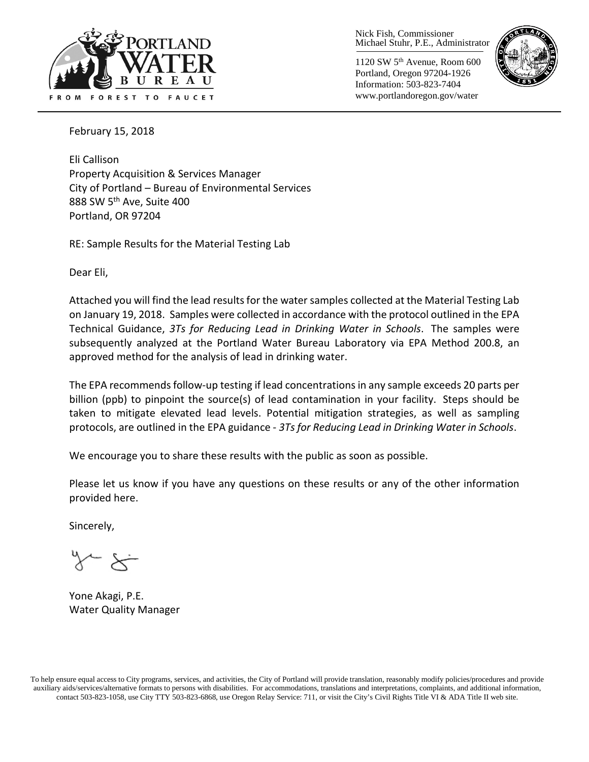

Nick Fish, Commissioner Michael Stuhr, P.E., Administrator

1120 SW 5th Avenue, Room 600 Portland, Oregon 97204-1926 Information: 503-823-7404 www.portlandoregon.gov/water



February 15, 2018

Eli Callison Property Acquisition & Services Manager City of Portland – Bureau of Environmental Services 888 SW 5<sup>th</sup> Ave, Suite 400 Portland, OR 97204

RE: Sample Results for the Material Testing Lab

Dear Eli,

Attached you will find the lead results for the water samples collected at the Material Testing Lab on January 19, 2018. Samples were collected in accordance with the protocol outlined in the EPA Technical Guidance, *3Ts for Reducing Lead in Drinking Water in Schools*. The samples were subsequently analyzed at the Portland Water Bureau Laboratory via EPA Method 200.8, an approved method for the analysis of lead in drinking water.

The EPA recommends follow-up testing if lead concentrations in any sample exceeds 20 parts per billion (ppb) to pinpoint the source(s) of lead contamination in your facility. Steps should be taken to mitigate elevated lead levels. Potential mitigation strategies, as well as sampling protocols, are outlined in the EPA guidance - *3Ts for Reducing Lead in Drinking Water in Schools*.

We encourage you to share these results with the public as soon as possible.

Please let us know if you have any questions on these results or any of the other information provided here.

Sincerely,

 $\overleftarrow{\phantom{a}}$ 

Yone Akagi, P.E. Water Quality Manager

To help ensure equal access to City programs, services, and activities, the City of Portland will provide translation, reasonably modify policies/procedures and provide auxiliary aids/services/alternative formats to persons with disabilities. For accommodations, translations and interpretations, complaints, and additional information, contact 503-823-1058, use City TTY 503-823-6868, use Oregon Relay Service: 711, or visi[t the City's Civil Rights Title VI & ADA Title II web site.](http://www.portlandoregon.gov/oehr/66458)